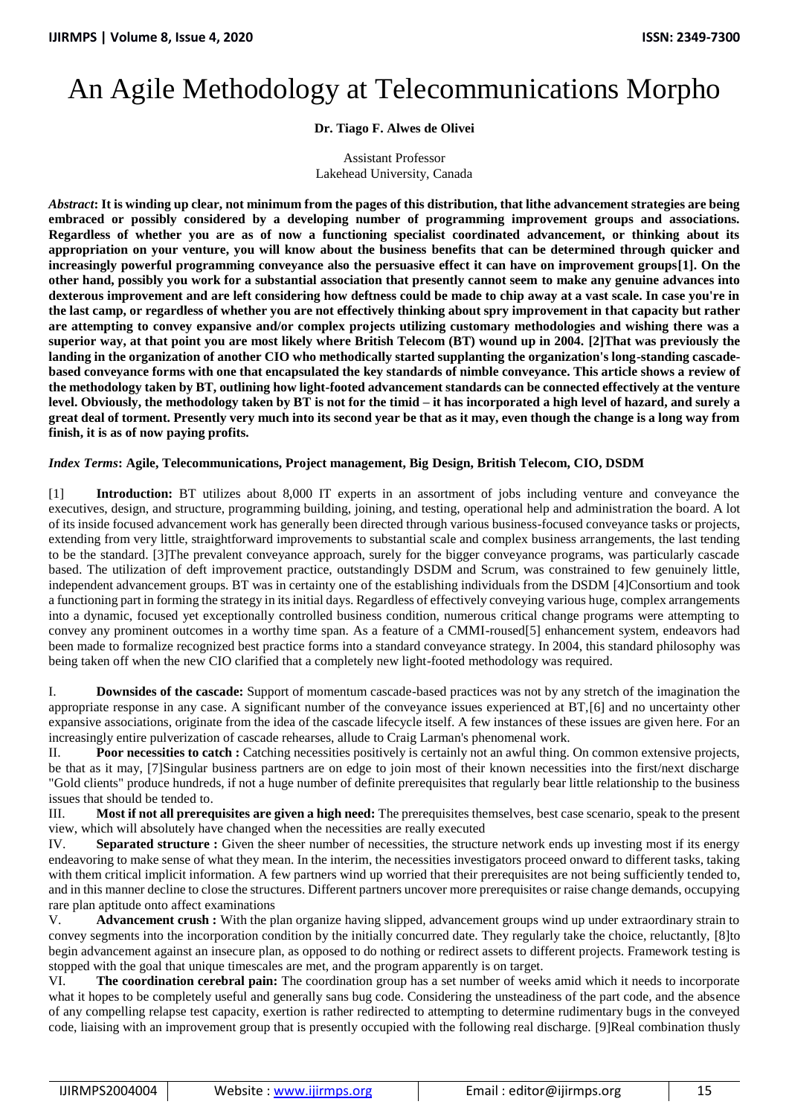## An Agile Methodology at Telecommunications Morpho

## **Dr. Tiago F. Alwes de Olivei**

Assistant Professor Lakehead University, Canada

*Abstract***: It is winding up clear, not minimum from the pages of this distribution, that lithe advancement strategies are being embraced or possibly considered by a developing number of programming improvement groups and associations. Regardless of whether you are as of now a functioning specialist coordinated advancement, or thinking about its appropriation on your venture, you will know about the business benefits that can be determined through quicker and increasingly powerful programming conveyance also the persuasive effect it can have on improvement groups[1]. On the other hand, possibly you work for a substantial association that presently cannot seem to make any genuine advances into dexterous improvement and are left considering how deftness could be made to chip away at a vast scale. In case you're in the last camp, or regardless of whether you are not effectively thinking about spry improvement in that capacity but rather are attempting to convey expansive and/or complex projects utilizing customary methodologies and wishing there was a superior way, at that point you are most likely where British Telecom (BT) wound up in 2004. [2]That was previously the landing in the organization of another CIO who methodically started supplanting the organization's long-standing cascadebased conveyance forms with one that encapsulated the key standards of nimble conveyance. This article shows a review of the methodology taken by BT, outlining how light-footed advancement standards can be connected effectively at the venture level. Obviously, the methodology taken by BT is not for the timid – it has incorporated a high level of hazard, and surely a great deal of torment. Presently very much into its second year be that as it may, even though the change is a long way from finish, it is as of now paying profits.**

## *Index Terms***: Agile, Telecommunications, Project management, Big Design, British Telecom, CIO, DSDM**

[1] **Introduction:** BT utilizes about 8,000 IT experts in an assortment of jobs including venture and conveyance the executives, design, and structure, programming building, joining, and testing, operational help and administration the board. A lot of its inside focused advancement work has generally been directed through various business-focused conveyance tasks or projects, extending from very little, straightforward improvements to substantial scale and complex business arrangements, the last tending to be the standard. [3]The prevalent conveyance approach, surely for the bigger conveyance programs, was particularly cascade based. The utilization of deft improvement practice, outstandingly DSDM and Scrum, was constrained to few genuinely little, independent advancement groups. BT was in certainty one of the establishing individuals from the DSDM [4]Consortium and took a functioning part in forming the strategy in its initial days. Regardless of effectively conveying various huge, complex arrangements into a dynamic, focused yet exceptionally controlled business condition, numerous critical change programs were attempting to convey any prominent outcomes in a worthy time span. As a feature of a CMMI-roused[5] enhancement system, endeavors had been made to formalize recognized best practice forms into a standard conveyance strategy. In 2004, this standard philosophy was being taken off when the new CIO clarified that a completely new light-footed methodology was required.

I. **Downsides of the cascade:** Support of momentum cascade-based practices was not by any stretch of the imagination the appropriate response in any case. A significant number of the conveyance issues experienced at BT,[6] and no uncertainty other expansive associations, originate from the idea of the cascade lifecycle itself. A few instances of these issues are given here. For an increasingly entire pulverization of cascade rehearses, allude to Craig Larman's phenomenal work.

II. **Poor necessities to catch :** Catching necessities positively is certainly not an awful thing. On common extensive projects, be that as it may, [7]Singular business partners are on edge to join most of their known necessities into the first/next discharge "Gold clients" produce hundreds, if not a huge number of definite prerequisites that regularly bear little relationship to the business issues that should be tended to.

III. **Most if not all prerequisites are given a high need:** The prerequisites themselves, best case scenario, speak to the present view, which will absolutely have changed when the necessities are really executed

IV. **Separated structure :** Given the sheer number of necessities, the structure network ends up investing most if its energy endeavoring to make sense of what they mean. In the interim, the necessities investigators proceed onward to different tasks, taking with them critical implicit information. A few partners wind up worried that their prerequisites are not being sufficiently tended to, and in this manner decline to close the structures. Different partners uncover more prerequisites or raise change demands, occupying rare plan aptitude onto affect examinations

V. **Advancement crush :** With the plan organize having slipped, advancement groups wind up under extraordinary strain to convey segments into the incorporation condition by the initially concurred date. They regularly take the choice, reluctantly, [8]to begin advancement against an insecure plan, as opposed to do nothing or redirect assets to different projects. Framework testing is stopped with the goal that unique timescales are met, and the program apparently is on target.

VI. **The coordination cerebral pain:** The coordination group has a set number of weeks amid which it needs to incorporate what it hopes to be completely useful and generally sans bug code. Considering the unsteadiness of the part code, and the absence of any compelling relapse test capacity, exertion is rather redirected to attempting to determine rudimentary bugs in the conveyed code, liaising with an improvement group that is presently occupied with the following real discharge. [9]Real combination thusly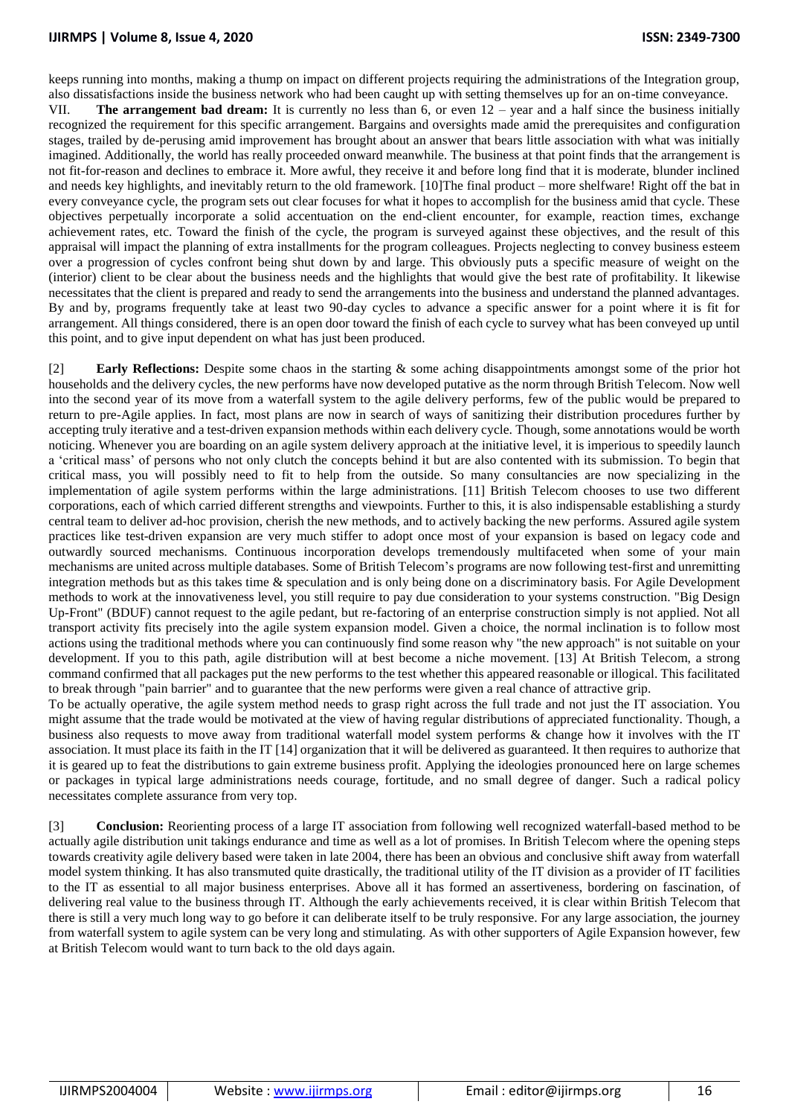keeps running into months, making a thump on impact on different projects requiring the administrations of the Integration group, also dissatisfactions inside the business network who had been caught up with setting themselves up for an on-time conveyance.

VII. **The arrangement bad dream:** It is currently no less than 6, or even 12 – year and a half since the business initially recognized the requirement for this specific arrangement. Bargains and oversights made amid the prerequisites and configuration stages, trailed by de-perusing amid improvement has brought about an answer that bears little association with what was initially imagined. Additionally, the world has really proceeded onward meanwhile. The business at that point finds that the arrangement is not fit-for-reason and declines to embrace it. More awful, they receive it and before long find that it is moderate, blunder inclined and needs key highlights, and inevitably return to the old framework. [10]The final product – more shelfware! Right off the bat in every conveyance cycle, the program sets out clear focuses for what it hopes to accomplish for the business amid that cycle. These objectives perpetually incorporate a solid accentuation on the end-client encounter, for example, reaction times, exchange achievement rates, etc. Toward the finish of the cycle, the program is surveyed against these objectives, and the result of this appraisal will impact the planning of extra installments for the program colleagues. Projects neglecting to convey business esteem over a progression of cycles confront being shut down by and large. This obviously puts a specific measure of weight on the (interior) client to be clear about the business needs and the highlights that would give the best rate of profitability. It likewise necessitates that the client is prepared and ready to send the arrangements into the business and understand the planned advantages. By and by, programs frequently take at least two 90-day cycles to advance a specific answer for a point where it is fit for arrangement. All things considered, there is an open door toward the finish of each cycle to survey what has been conveyed up until this point, and to give input dependent on what has just been produced.

[2] **Early Reflections:** Despite some chaos in the starting & some aching disappointments amongst some of the prior hot households and the delivery cycles, the new performs have now developed putative as the norm through British Telecom. Now well into the second year of its move from a waterfall system to the agile delivery performs, few of the public would be prepared to return to pre-Agile applies. In fact, most plans are now in search of ways of sanitizing their distribution procedures further by accepting truly iterative and a test-driven expansion methods within each delivery cycle. Though, some annotations would be worth noticing. Whenever you are boarding on an agile system delivery approach at the initiative level, it is imperious to speedily launch a 'critical mass' of persons who not only clutch the concepts behind it but are also contented with its submission. To begin that critical mass, you will possibly need to fit to help from the outside. So many consultancies are now specializing in the implementation of agile system performs within the large administrations. [11] British Telecom chooses to use two different corporations, each of which carried different strengths and viewpoints. Further to this, it is also indispensable establishing a sturdy central team to deliver ad-hoc provision, cherish the new methods, and to actively backing the new performs. Assured agile system practices like test-driven expansion are very much stiffer to adopt once most of your expansion is based on legacy code and outwardly sourced mechanisms. Continuous incorporation develops tremendously multifaceted when some of your main mechanisms are united across multiple databases. Some of British Telecom's programs are now following test-first and unremitting integration methods but as this takes time & speculation and is only being done on a discriminatory basis. For Agile Development methods to work at the innovativeness level, you still require to pay due consideration to your systems construction. "Big Design Up-Front" (BDUF) cannot request to the agile pedant, but re-factoring of an enterprise construction simply is not applied. Not all transport activity fits precisely into the agile system expansion model. Given a choice, the normal inclination is to follow most actions using the traditional methods where you can continuously find some reason why "the new approach" is not suitable on your development. If you to this path, agile distribution will at best become a niche movement. [13] At British Telecom, a strong command confirmed that all packages put the new performs to the test whether this appeared reasonable or illogical. This facilitated to break through "pain barrier" and to guarantee that the new performs were given a real chance of attractive grip.

To be actually operative, the agile system method needs to grasp right across the full trade and not just the IT association. You might assume that the trade would be motivated at the view of having regular distributions of appreciated functionality. Though, a business also requests to move away from traditional waterfall model system performs & change how it involves with the IT association. It must place its faith in the IT [14] organization that it will be delivered as guaranteed. It then requires to authorize that it is geared up to feat the distributions to gain extreme business profit. Applying the ideologies pronounced here on large schemes or packages in typical large administrations needs courage, fortitude, and no small degree of danger. Such a radical policy necessitates complete assurance from very top.

[3] **Conclusion:** Reorienting process of a large IT association from following well recognized waterfall-based method to be actually agile distribution unit takings endurance and time as well as a lot of promises. In British Telecom where the opening steps towards creativity agile delivery based were taken in late 2004, there has been an obvious and conclusive shift away from waterfall model system thinking. It has also transmuted quite drastically, the traditional utility of the IT division as a provider of IT facilities to the IT as essential to all major business enterprises. Above all it has formed an assertiveness, bordering on fascination, of delivering real value to the business through IT. Although the early achievements received, it is clear within British Telecom that there is still a very much long way to go before it can deliberate itself to be truly responsive. For any large association, the journey from waterfall system to agile system can be very long and stimulating. As with other supporters of Agile Expansion however, few at British Telecom would want to turn back to the old days again.